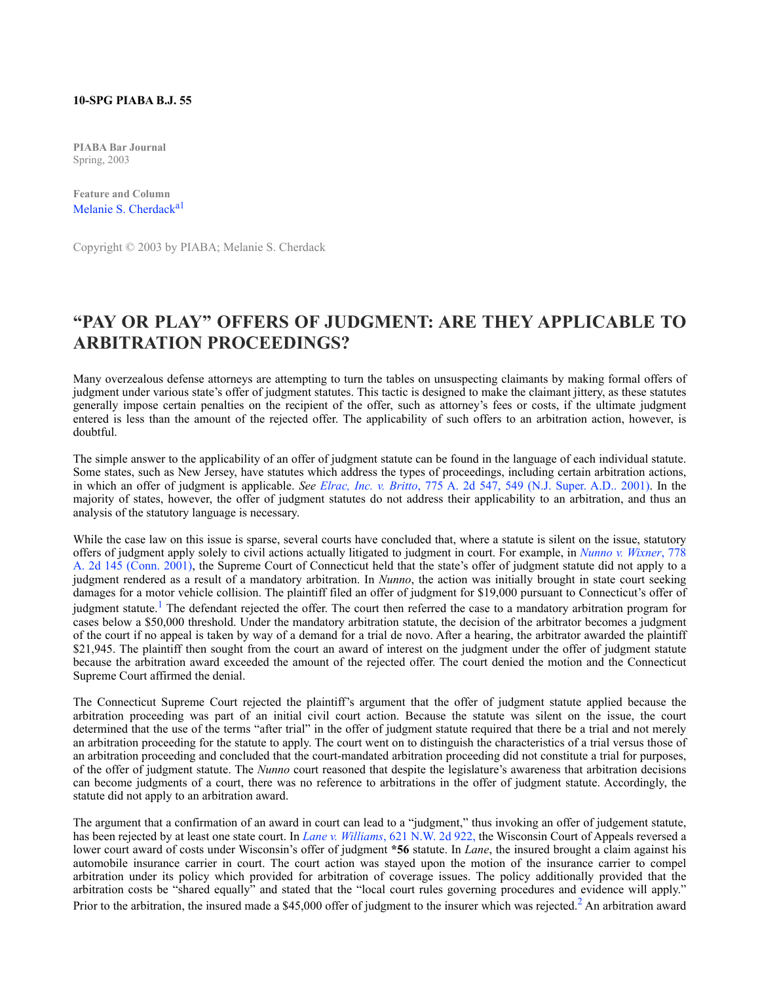## **10-SPG PIABA B.J. 55**

**PIABA Bar Journal** Spring, 2003

**Feature and Column** [Melanie S. Cherdack](http://www.westlaw.com/Link/Document/FullText?findType=h&pubNum=176284&cite=0148456801&originatingDoc=I857601f0b8ad11de9b8c850332338889&refType=RQ&originationContext=document&vr=3.0&rs=cblt1.0&transitionType=DocumentItem&contextData=(sc.Search))<sup>[a1](#co_footnote_Fa1346958869_1)</sup>

Copyright © 2003 by PIABA; Melanie S. Cherdack

## **"PAY OR PLAY" OFFERS OF JUDGMENT: ARE THEY APPLICABLE TO ARBITRATION PROCEEDINGS?**

Many overzealous defense attorneys are attempting to turn the tables on unsuspecting claimants by making formal offers of judgment under various state's offer of judgment statutes. This tactic is designed to make the claimant jittery, as these statutes generally impose certain penalties on the recipient of the offer, such as attorney's fees or costs, if the ultimate judgment entered is less than the amount of the rejected offer. The applicability of such offers to an arbitration action, however, is doubtful.

The simple answer to the applicability of an offer of judgment statute can be found in the language of each individual statute. Some states, such as New Jersey, have statutes which address the types of proceedings, including certain arbitration actions, in which an offer of judgment is applicable. *See [Elrac, Inc. v. Britto](http://www.westlaw.com/Link/Document/FullText?findType=Y&serNum=2001537833&pubNum=162&originatingDoc=I857601f0b8ad11de9b8c850332338889&refType=RP&fi=co_pp_sp_162_549&originationContext=document&vr=3.0&rs=cblt1.0&transitionType=DocumentItem&contextData=(sc.Search)#co_pp_sp_162_549)*[, 775 A. 2d 547, 549 \(N.J. Super. A.D.. 2001\).](http://www.westlaw.com/Link/Document/FullText?findType=Y&serNum=2001537833&pubNum=162&originatingDoc=I857601f0b8ad11de9b8c850332338889&refType=RP&fi=co_pp_sp_162_549&originationContext=document&vr=3.0&rs=cblt1.0&transitionType=DocumentItem&contextData=(sc.Search)#co_pp_sp_162_549) In the majority of states, however, the offer of judgment statutes do not address their applicability to an arbitration, and thus an analysis of the statutory language is necessary.

While the case law on this issue is sparse, several courts have concluded that, where a statute is silent on the issue, statutory offers of judgment apply solely to civil actions actually litigated to judgment in court. For example, in *[Nunno v. Wixner](http://www.westlaw.com/Link/Document/FullText?findType=Y&serNum=2001697215&pubNum=162&originatingDoc=I857601f0b8ad11de9b8c850332338889&refType=RP&originationContext=document&vr=3.0&rs=cblt1.0&transitionType=DocumentItem&contextData=(sc.Search))*[, 778](http://www.westlaw.com/Link/Document/FullText?findType=Y&serNum=2001697215&pubNum=162&originatingDoc=I857601f0b8ad11de9b8c850332338889&refType=RP&originationContext=document&vr=3.0&rs=cblt1.0&transitionType=DocumentItem&contextData=(sc.Search)) [A. 2d 145 \(Conn. 2001\),](http://www.westlaw.com/Link/Document/FullText?findType=Y&serNum=2001697215&pubNum=162&originatingDoc=I857601f0b8ad11de9b8c850332338889&refType=RP&originationContext=document&vr=3.0&rs=cblt1.0&transitionType=DocumentItem&contextData=(sc.Search)) the Supreme Court of Connecticut held that the state's offer of judgment statute did not apply to a judgment rendered as a result of a mandatory arbitration. In *Nunno*, the action was initially brought in state court seeking damages for a motor vehicle collision. The plaintiff filed an offer of judgment for \$19,000 pursuant to Connecticut's offer of judgment statute.<sup>[1](#co_footnote_F1346958869_1)</sup> The defendant rejected the offer. The court then referred the case to a mandatory arbitration program for cases below a \$50,000 threshold. Under the mandatory arbitration statute, the decision of the arbitrator becomes a judgment of the court if no appeal is taken by way of a demand for a trial de novo. After a hearing, the arbitrator awarded the plaintiff \$21,945. The plaintiff then sought from the court an award of interest on the judgment under the offer of judgment statute because the arbitration award exceeded the amount of the rejected offer. The court denied the motion and the Connecticut Supreme Court affirmed the denial.

The Connecticut Supreme Court rejected the plaintiff's argument that the offer of judgment statute applied because the arbitration proceeding was part of an initial civil court action. Because the statute was silent on the issue, the court determined that the use of the terms "after trial" in the offer of judgment statute required that there be a trial and not merely an arbitration proceeding for the statute to apply. The court went on to distinguish the characteristics of a trial versus those of an arbitration proceeding and concluded that the court-mandated arbitration proceeding did not constitute a trial for purposes, of the offer of judgment statute. The *Nunno* court reasoned that despite the legislature's awareness that arbitration decisions can become judgments of a court, there was no reference to arbitrations in the offer of judgment statute. Accordingly, the statute did not apply to an arbitration award.

The argument that a confirmation of an award in court can lead to a "judgment," thus invoking an offer of judgement statute, has been rejected by at least one state court. In *[Lane v. Williams](http://www.westlaw.com/Link/Document/FullText?findType=Y&serNum=2000621919&pubNum=595&originatingDoc=I857601f0b8ad11de9b8c850332338889&refType=RP&originationContext=document&vr=3.0&rs=cblt1.0&transitionType=DocumentItem&contextData=(sc.Search))*[, 621 N.W. 2d 922,](http://www.westlaw.com/Link/Document/FullText?findType=Y&serNum=2000621919&pubNum=595&originatingDoc=I857601f0b8ad11de9b8c850332338889&refType=RP&originationContext=document&vr=3.0&rs=cblt1.0&transitionType=DocumentItem&contextData=(sc.Search)) the Wisconsin Court of Appeals reversed a lower court award of costs under Wisconsin's offer of judgment **\*56** statute. In *Lane*, the insured brought a claim against his automobile insurance carrier in court. The court action was stayed upon the motion of the insurance carrier to compel arbitration under its policy which provided for arbitration of coverage issues. The policy additionally provided that the arbitration costs be "shared equally" and stated that the "local court rules governing procedures and evidence will apply." Prior to the arbitration, the insured made a \$45,000 offer of judgment to the insurer which was rejected.<sup>[2](#co_footnote_F2346958869_1)</sup> An arbitration award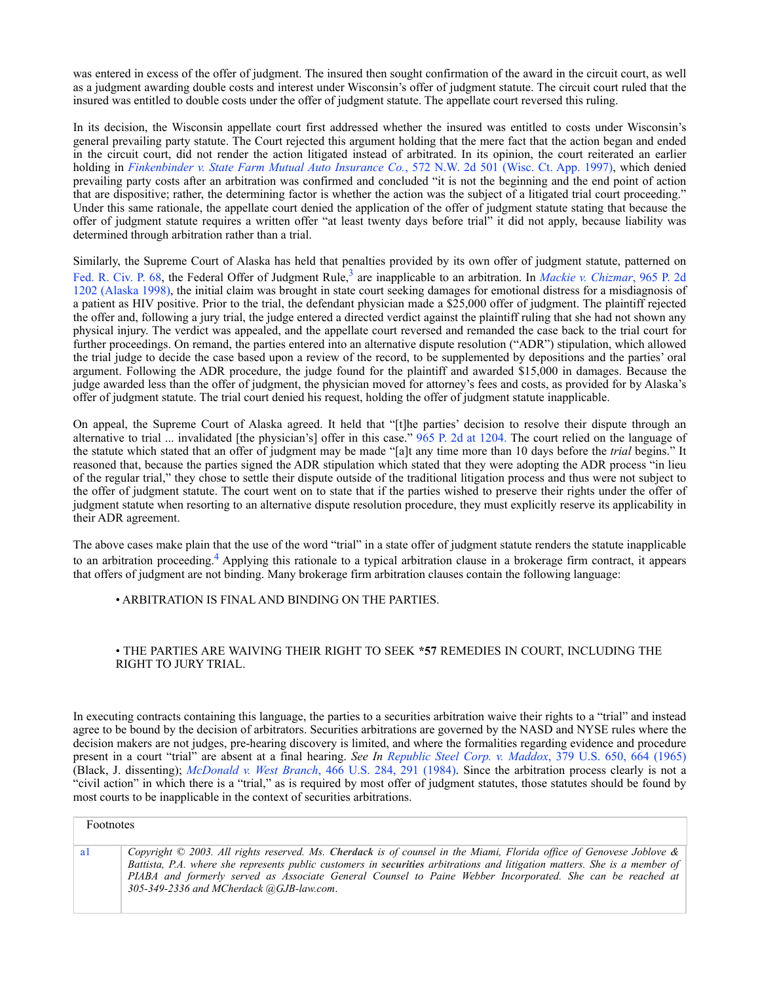was entered in excess of the offer of judgment. The insured then sought confirmation of the award in the circuit court, as well as a judgment awarding double costs and interest under Wisconsin's offer of judgment statute. The circuit court ruled that the insured was entitled to double costs under the offer of judgment statute. The appellate court reversed this ruling.

In its decision, the Wisconsin appellate court first addressed whether the insured was entitled to costs under Wisconsin's general prevailing party statute. The Court rejected this argument holding that the mere fact that the action began and ended in the circuit court, did not render the action litigated instead of arbitrated. In its opinion, the court reiterated an earlier holding in *[Finkenbinder v. State Farm Mutual Auto Insurance Co.](http://www.westlaw.com/Link/Document/FullText?findType=Y&serNum=1997225050&pubNum=595&originatingDoc=I857601f0b8ad11de9b8c850332338889&refType=RP&originationContext=document&vr=3.0&rs=cblt1.0&transitionType=DocumentItem&contextData=(sc.Search))*[, 572 N.W. 2d 501 \(Wisc. Ct. App. 1997\),](http://www.westlaw.com/Link/Document/FullText?findType=Y&serNum=1997225050&pubNum=595&originatingDoc=I857601f0b8ad11de9b8c850332338889&refType=RP&originationContext=document&vr=3.0&rs=cblt1.0&transitionType=DocumentItem&contextData=(sc.Search)) which denied prevailing party costs after an arbitration was confirmed and concluded "it is not the beginning and the end point of action that are dispositive; rather, the determining factor is whether the action was the subject of a litigated trial court proceeding." Under this same rationale, the appellate court denied the application of the offer of judgment statute stating that because the offer of judgment statute requires a written offer "at least twenty days before trial" it did not apply, because liability was determined through arbitration rather than a trial.

Similarly, the Supreme Court of Alaska has held that penalties provided by its own offer of judgment statute, patterned on [Fed. R. Civ. P. 68](http://www.westlaw.com/Link/Document/FullText?findType=L&pubNum=1004365&cite=USFRCPR68&originatingDoc=I857601f0b8ad11de9b8c850332338889&refType=LQ&originationContext=document&vr=3.0&rs=cblt1.0&transitionType=DocumentItem&contextData=(sc.Search)), the Federal Offer of Judgment Rule,<sup>3</sup> are inapplicable to an arbitration. In *[Mackie v. Chizmar](http://www.westlaw.com/Link/Document/FullText?findType=Y&serNum=1998202504&pubNum=661&originatingDoc=I857601f0b8ad11de9b8c850332338889&refType=RP&originationContext=document&vr=3.0&rs=cblt1.0&transitionType=DocumentItem&contextData=(sc.Search))*[, 965 P. 2d](http://www.westlaw.com/Link/Document/FullText?findType=Y&serNum=1998202504&pubNum=661&originatingDoc=I857601f0b8ad11de9b8c850332338889&refType=RP&originationContext=document&vr=3.0&rs=cblt1.0&transitionType=DocumentItem&contextData=(sc.Search)) [1202 \(Alaska 1998\)](http://www.westlaw.com/Link/Document/FullText?findType=Y&serNum=1998202504&pubNum=661&originatingDoc=I857601f0b8ad11de9b8c850332338889&refType=RP&originationContext=document&vr=3.0&rs=cblt1.0&transitionType=DocumentItem&contextData=(sc.Search)), the initial claim was brought in state court seeking damages for emotional distress for a misdiagnosis of a patient as HIV positive. Prior to the trial, the defendant physician made a \$25,000 offer of judgment. The plaintiff rejected the offer and, following a jury trial, the judge entered a directed verdict against the plaintiff ruling that she had not shown any physical injury. The verdict was appealed, and the appellate court reversed and remanded the case back to the trial court for further proceedings. On remand, the parties entered into an alternative dispute resolution ("ADR") stipulation, which allowed the trial judge to decide the case based upon a review of the record, to be supplemented by depositions and the parties' oral argument. Following the ADR procedure, the judge found for the plaintiff and awarded \$15,000 in damages. Because the judge awarded less than the offer of judgment, the physician moved for attorney's fees and costs, as provided for by Alaska's offer of judgment statute. The trial court denied his request, holding the offer of judgment statute inapplicable.

On appeal, the Supreme Court of Alaska agreed. It held that "[t]he parties' decision to resolve their dispute through an alternative to trial ... invalidated [the physician's] offer in this case." [965 P. 2d at 1204.](http://www.westlaw.com/Link/Document/FullText?findType=Y&serNum=1998202504&pubNum=661&originatingDoc=I857601f0b8ad11de9b8c850332338889&refType=RP&fi=co_pp_sp_661_1204&originationContext=document&vr=3.0&rs=cblt1.0&transitionType=DocumentItem&contextData=(sc.Search)#co_pp_sp_661_1204) The court relied on the language of the statute which stated that an offer of judgment may be made "[a]t any time more than 10 days before the *trial* begins." It reasoned that, because the parties signed the ADR stipulation which stated that they were adopting the ADR process "in lieu of the regular trial," they chose to settle their dispute outside of the traditional litigation process and thus were not subject to the offer of judgment statute. The court went on to state that if the parties wished to preserve their rights under the offer of judgment statute when resorting to an alternative dispute resolution procedure, they must explicitly reserve its applicability in their ADR agreement.

The above cases make plain that the use of the word "trial" in a state offer of judgment statute renders the statute inapplicable to an arbitration proceeding.<sup>[4](#co_footnote_F4346958869_1)</sup> Applying this rationale to a typical arbitration clause in a brokerage firm contract, it appears that offers of judgment are not binding. Many brokerage firm arbitration clauses contain the following language:

• ARBITRATION IS FINAL AND BINDING ON THE PARTIES.

## • THE PARTIES ARE WAIVING THEIR RIGHT TO SEEK **\*57** REMEDIES IN COURT, INCLUDING THE RIGHT TO JURY TRIAL.

In executing contracts containing this language, the parties to a securities arbitration waive their rights to a "trial" and instead agree to be bound by the decision of arbitrators. Securities arbitrations are governed by the NASD and NYSE rules where the decision makers are not judges, pre-hearing discovery is limited, and where the formalities regarding evidence and procedure present in a court "trial" are absent at a final hearing. *See In [Republic Steel Corp. v. Maddox](http://www.westlaw.com/Link/Document/FullText?findType=Y&serNum=1965125021&pubNum=780&originatingDoc=I857601f0b8ad11de9b8c850332338889&refType=RP&fi=co_pp_sp_780_664&originationContext=document&vr=3.0&rs=cblt1.0&transitionType=DocumentItem&contextData=(sc.Search)#co_pp_sp_780_664)*[, 379 U.S. 650, 664 \(1965\)](http://www.westlaw.com/Link/Document/FullText?findType=Y&serNum=1965125021&pubNum=780&originatingDoc=I857601f0b8ad11de9b8c850332338889&refType=RP&fi=co_pp_sp_780_664&originationContext=document&vr=3.0&rs=cblt1.0&transitionType=DocumentItem&contextData=(sc.Search)#co_pp_sp_780_664) (Black, J. dissenting); *[McDonald v. West Branch](http://www.westlaw.com/Link/Document/FullText?findType=Y&serNum=1984119005&pubNum=780&originatingDoc=I857601f0b8ad11de9b8c850332338889&refType=RP&fi=co_pp_sp_780_291&originationContext=document&vr=3.0&rs=cblt1.0&transitionType=DocumentItem&contextData=(sc.Search)#co_pp_sp_780_291)*[, 466 U.S. 284, 291 \(1984\)](http://www.westlaw.com/Link/Document/FullText?findType=Y&serNum=1984119005&pubNum=780&originatingDoc=I857601f0b8ad11de9b8c850332338889&refType=RP&fi=co_pp_sp_780_291&originationContext=document&vr=3.0&rs=cblt1.0&transitionType=DocumentItem&contextData=(sc.Search)#co_pp_sp_780_291). Since the arbitration process clearly is not a "civil action" in which there is a "trial," as is required by most offer of judgment statutes, those statutes should be found by most courts to be inapplicable in the context of securities arbitrations.

Footnotes

[a1](#co_fnRef_Fa1346958869_ID0EOAAC_1) *Copyright © 2003. All rights reserved. Ms. Cherdack is of counsel in the Miami, Florida office of Genovese Joblove & Battista, P.A. where she represents public customers in securities arbitrations and litigation matters. She is a member of PIABA and formerly served as Associate General Counsel to Paine Webber Incorporated. She can be reached at 305-349-2336 and MCherdack @GJB-law.com*.